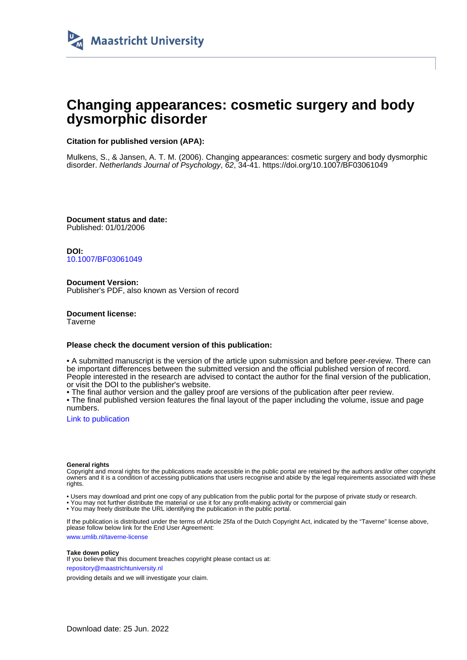

# **Changing appearances: cosmetic surgery and body dysmorphic disorder**

## **Citation for published version (APA):**

Mulkens, S., & Jansen, A. T. M. (2006). Changing appearances: cosmetic surgery and body dysmorphic disorder. Netherlands Journal of Psychology, 62, 34-41. <https://doi.org/10.1007/BF03061049>

**Document status and date:** Published: 01/01/2006

**DOI:** [10.1007/BF03061049](https://doi.org/10.1007/BF03061049)

**Document Version:** Publisher's PDF, also known as Version of record

**Document license: Taverne** 

#### **Please check the document version of this publication:**

• A submitted manuscript is the version of the article upon submission and before peer-review. There can be important differences between the submitted version and the official published version of record. People interested in the research are advised to contact the author for the final version of the publication, or visit the DOI to the publisher's website.

• The final author version and the galley proof are versions of the publication after peer review.

• The final published version features the final layout of the paper including the volume, issue and page numbers.

[Link to publication](https://cris.maastrichtuniversity.nl/en/publications/11a24e52-f055-4750-a2c6-5aeb9e3b339a)

#### **General rights**

Copyright and moral rights for the publications made accessible in the public portal are retained by the authors and/or other copyright owners and it is a condition of accessing publications that users recognise and abide by the legal requirements associated with these rights.

• Users may download and print one copy of any publication from the public portal for the purpose of private study or research.

• You may not further distribute the material or use it for any profit-making activity or commercial gain

• You may freely distribute the URL identifying the publication in the public portal.

If the publication is distributed under the terms of Article 25fa of the Dutch Copyright Act, indicated by the "Taverne" license above, please follow below link for the End User Agreement:

www.umlib.nl/taverne-license

#### **Take down policy**

If you believe that this document breaches copyright please contact us at: repository@maastrichtuniversity.nl

providing details and we will investigate your claim.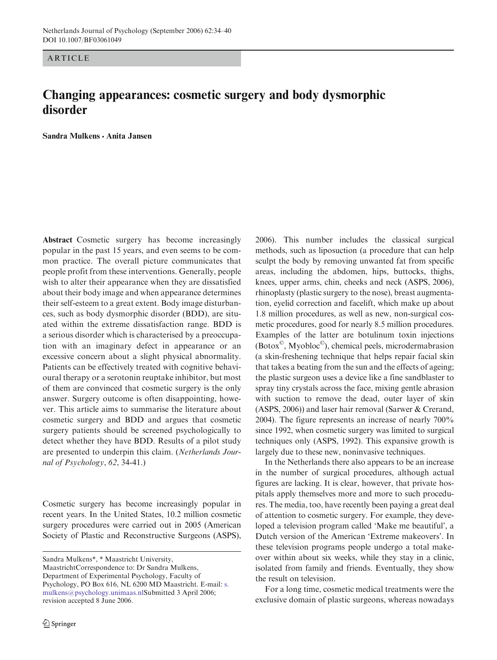ARTICLE

## Changing appearances: cosmetic surgery and body dysmorphic disorder

Sandra Mulkens · Anita Jansen

Abstract Cosmetic surgery has become increasingly popular in the past 15 years, and even seems to be common practice. The overall picture communicates that people profit from these interventions. Generally, people wish to alter their appearance when they are dissatisfied about their body image and when appearance determines their self-esteem to a great extent. Body image disturbances, such as body dysmorphic disorder (BDD), are situated within the extreme dissatisfaction range. BDD is a serious disorder which is characterised by a preoccupation with an imaginary defect in appearance or an excessive concern about a slight physical abnormality. Patients can be effectively treated with cognitive behavioural therapy or a serotonin reuptake inhibitor, but most of them are convinced that cosmetic surgery is the only answer. Surgery outcome is often disappointing, however. This article aims to summarise the literature about cosmetic surgery and BDD and argues that cosmetic surgery patients should be screened psychologically to detect whether they have BDD. Results of a pilot study are presented to underpin this claim. (Netherlands Journal of Psychology, 62, 34-41.)

Cosmetic surgery has become increasingly popular in recent years. In the United States, 10.2 million cosmetic surgery procedures were carried out in 2005 (American Society of Plastic and Reconstructive Surgeons (ASPS),

Sandra Mulkens\*, \* Maastricht University,

MaastrichtCorrespondence to: Dr Sandra Mulkens, Department of Experimental Psychology, Faculty of Psychology, PO Box 616, NL 6200 MD Maastricht. E-mail: s. mulkens@psychology.unimaas.nlSubmitted 3 April 2006; revision accepted 8 June 2006.

2006). This number includes the classical surgical methods, such as liposuction (a procedure that can help sculpt the body by removing unwanted fat from specific areas, including the abdomen, hips, buttocks, thighs, knees, upper arms, chin, cheeks and neck (ASPS, 2006), rhinoplasty (plastic surgery to the nose), breast augmentation, eyelid correction and facelift, which make up about 1.8 million procedures, as well as new, non-surgical cosmetic procedures, good for nearly 8.5 million procedures. Examples of the latter are botulinum toxin injections (Botox©, Myobloc©), chemical peels, microdermabrasion (a skin-freshening technique that helps repair facial skin that takes a beating from the sun and the effects of ageing; the plastic surgeon uses a device like a fine sandblaster to spray tiny crystals across the face, mixing gentle abrasion with suction to remove the dead, outer layer of skin (ASPS, 2006)) and laser hair removal (Sarwer & Crerand, 2004). The figure represents an increase of nearly 700% since 1992, when cosmetic surgery was limited to surgical techniques only (ASPS, 1992). This expansive growth is largely due to these new, noninvasive techniques.

In the Netherlands there also appears to be an increase in the number of surgical procedures, although actual figures are lacking. It is clear, however, that private hospitals apply themselves more and more to such procedures. The media, too, have recently been paying a great deal of attention to cosmetic surgery. For example, they developed a television program called 'Make me beautiful', a Dutch version of the American 'Extreme makeovers'. In these television programs people undergo a total makeover within about six weeks, while they stay in a clinic, isolated from family and friends. Eventually, they show the result on television.

For a long time, cosmetic medical treatments were the exclusive domain of plastic surgeons, whereas nowadays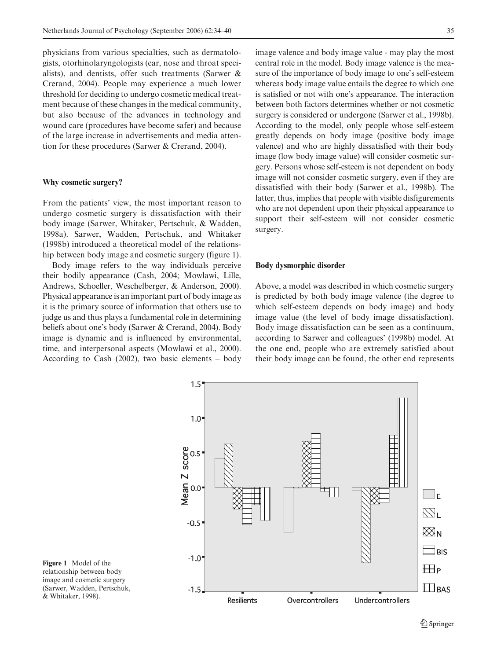physicians from various specialties, such as dermatologists, otorhinolaryngologists (ear, nose and throat specialists), and dentists, offer such treatments (Sarwer & Crerand, 2004). People may experience a much lower threshold for deciding to undergo cosmetic medical treatment because of these changes in the medical community, but also because of the advances in technology and wound care (procedures have become safer) and because of the large increase in advertisements and media attention for these procedures (Sarwer & Crerand, 2004).

### Why cosmetic surgery?

From the patients' view, the most important reason to undergo cosmetic surgery is dissatisfaction with their body image (Sarwer, Whitaker, Pertschuk, & Wadden, 1998a). Sarwer, Wadden, Pertschuk, and Whitaker (1998b) introduced a theoretical model of the relationship between body image and cosmetic surgery (figure 1).

Body image refers to the way individuals perceive their bodily appearance (Cash, 2004; Mowlawi, Lille, Andrews, Schoeller, Weschelberger, & Anderson, 2000). Physical appearance is an important part of body image as it is the primary source of information that others use to judge us and thus plays a fundamental role in determining beliefs about one's body (Sarwer & Crerand, 2004). Body image is dynamic and is influenced by environmental, time, and interpersonal aspects (Mowlawi et al., 2000). According to Cash (2002), two basic elements – body image valence and body image value - may play the most central role in the model. Body image valence is the measure of the importance of body image to one's self-esteem whereas body image value entails the degree to which one is satisfied or not with one's appearance. The interaction between both factors determines whether or not cosmetic surgery is considered or undergone (Sarwer et al., 1998b). According to the model, only people whose self-esteem greatly depends on body image (positive body image valence) and who are highly dissatisfied with their body image (low body image value) will consider cosmetic surgery. Persons whose self-esteem is not dependent on body image will not consider cosmetic surgery, even if they are dissatisfied with their body (Sarwer et al., 1998b). The latter, thus, implies that people with visible disfigurements who are not dependent upon their physical appearance to support their self-esteem will not consider cosmetic surgery.

#### Body dysmorphic disorder

Above, a model was described in which cosmetic surgery is predicted by both body image valence (the degree to which self-esteem depends on body image) and body image value (the level of body image dissatisfaction). Body image dissatisfaction can be seen as a continuum, according to Sarwer and colleagues' (1998b) model. At the one end, people who are extremely satisfied about their body image can be found, the other end represents



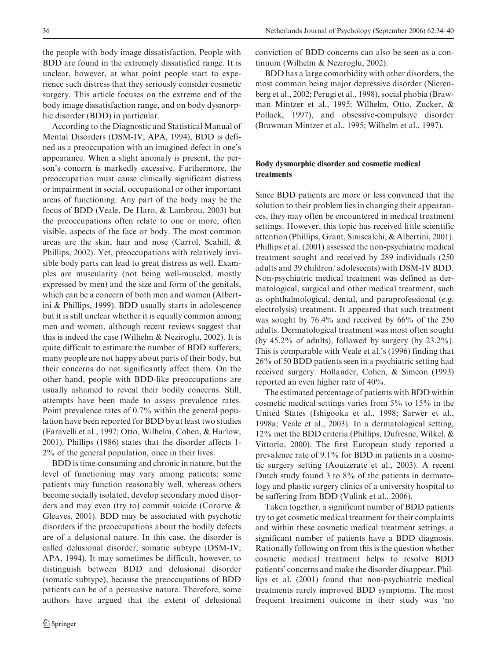the people with body image dissatisfaction. People with BDD are found in the extremely dissatisfied range. It is unclear, however, at what point people start to experience such distress that they seriously consider cosmetic surgery. This article focuses on the extreme end of the body image dissatisfaction range, and on body dysmorphic disorder (BDD) in particular.

According to the Diagnostic and Statistical Manual of Mental Disorders (DSM-IV; APA, 1994), BDD is defined as a preoccupation with an imagined defect in one's appearance. When a slight anomaly is present, the person's concern is markedly excessive. Furthermore, the preoccupation must cause clinically significant distress or impairment in social, occupational or other important areas of functioning. Any part of the body may be the focus of BDD (Veale, De Haro, & Lambrou, 2003) but the preoccupations often relate to one or more, often visible, aspects of the face or body. The most common areas are the skin, hair and nose (Carrol, Scahill, & Phillips, 2002). Yet, preoccupations with relatively invisible body parts can lead to great distress as well. Examples are muscularity (not being well-muscled, mostly expressed by men) and the size and form of the genitals, which can be a concern of both men and women (Albertini & Phillips, 1999). BDD usually starts in adolescence but it is still unclear whether it is equally common among men and women, although recent reviews suggest that this is indeed the case (Wilhelm & Neziroglu, 2002). It is quite difficult to estimate the number of BDD sufferers; many people are not happy about parts of their body, but their concerns do not significantly affect them. On the other hand, people with BDD-like preoccupations are usually ashamed to reveal their bodily concerns. Still, attempts have been made to assess prevalence rates. Point prevalence rates of 0.7% within the general population have been reported for BDD by at least two studies (Faravelli et al., 1997; Otto, Wilhelm, Cohen, & Harlow, 2001). Phillips (1986) states that the disorder affects 1- 2% of the general population, once in their lives.

BDD is time-consuming and chronic in nature, but the level of functioning may vary among patients; some patients may function reasonably well, whereas others become socially isolated, develop secondary mood disorders and may even (try to) commit suicide (Cororve & Gleaves, 2001). BDD may be associated with psychotic disorders if the preoccupations about the bodily defects are of a delusional nature. In this case, the disorder is called delusional disorder, somatic subtype (DSM-IV; APA, 1994). It may sometimes be difficult, however, to distinguish between BDD and delusional disorder (somatic subtype), because the preoccupations of BDD patients can be of a persuasive nature. Therefore, some authors have argued that the extent of delusional conviction of BDD concerns can also be seen as a continuum (Wilhelm & Neziroglu, 2002).

BDD has a large comorbidity with other disorders, the most common being major depressive disorder (Nierenberg et al., 2002; Perugi et al., 1998), social phobia (Brawman Mintzer et al., 1995; Wilhelm, Otto, Zucker, & Pollack, 1997), and obsessive-compulsive disorder (Brawman Mintzer et al., 1995; Wilhelm et al., 1997).

## Body dysmorphic disorder and cosmetic medical treatments

Since BDD patients are more or less convinced that the solution to their problem lies in changing their appearances, they may often be encountered in medical treatment settings. However, this topic has received little scientific attention (Phillips, Grant, Siniscalchi, & Albertini, 2001). Phillips et al. (2001) assessed the non-psychiatric medical treatment sought and received by 289 individuals (250 adults and 39 children/ adolescents) with DSM-IV BDD. Non-psychiatric medical treatment was defined as dermatological, surgical and other medical treatment, such as ophthalmological, dental, and paraprofessional (e.g. electrolysis) treatment. It appeared that such treatment was sought by 76.4% and received by 66% of the 250 adults. Dermatological treatment was most often sought (by 45.2% of adults), followed by surgery (by 23.2%). This is comparable with Veale et al.'s (1996) finding that 26% of 50 BDD patients seen in a psychiatric setting had received surgery. Hollander, Cohen, & Simeon (1993) reported an even higher rate of 40%.

The estimated percentage of patients with BDD within cosmetic medical settings varies from 5% to 15% in the United States (Ishigooka et al., 1998; Sarwer et al., 1998a; Veale et al., 2003). In a dermatological setting, 12% met the BDD criteria (Phillips, Dufresne, Wilkel, & Vittorio, 2000). The first European study reported a prevalence rate of 9.1% for BDD in patients in a cosmetic surgery setting (Aouizerate et al., 2003). A recent Dutch study found 3 to 8% of the patients in dermatology and plastic surgery clinics of a university hospital to be suffering from BDD (Vulink et al., 2006).

Taken together, a significant number of BDD patients try to get cosmetic medical treatment for their complaints and within these cosmetic medical treatment settings, a significant number of patients have a BDD diagnosis. Rationally following on from this is the question whether cosmetic medical treatment helps to resolve BDD patients' concerns and make the disorder disappear. Phillips et al. (2001) found that non-psychiatric medical treatments rarely improved BDD symptoms. The most frequent treatment outcome in their study was 'no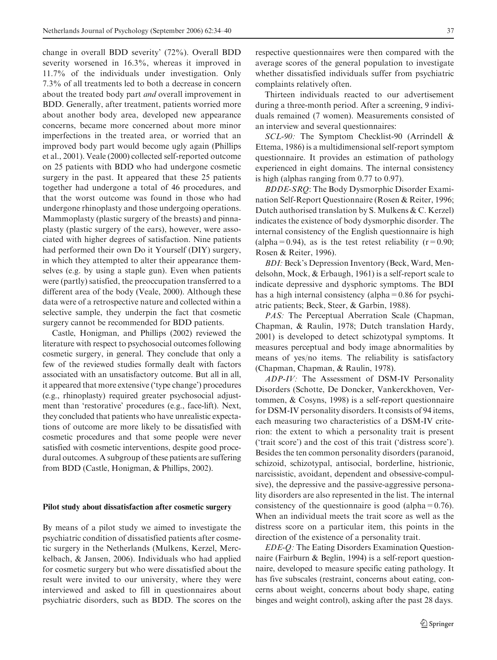change in overall BDD severity' (72%). Overall BDD severity worsened in 16.3%, whereas it improved in 11.7% of the individuals under investigation. Only 7.3% of all treatments led to both a decrease in concern about the treated body part and overall improvement in BDD. Generally, after treatment, patients worried more about another body area, developed new appearance concerns, became more concerned about more minor imperfections in the treated area, or worried that an improved body part would become ugly again (Phillips et al., 2001). Veale (2000) collected self-reported outcome on 25 patients with BDD who had undergone cosmetic surgery in the past. It appeared that these 25 patients together had undergone a total of 46 procedures, and that the worst outcome was found in those who had undergone rhinoplasty and those undergoing operations. Mammoplasty (plastic surgery of the breasts) and pinnaplasty (plastic surgery of the ears), however, were associated with higher degrees of satisfaction. Nine patients had performed their own Do it Yourself (DIY) surgery, in which they attempted to alter their appearance themselves (e.g. by using a staple gun). Even when patients were (partly) satisfied, the preoccupation transferred to a different area of the body (Veale, 2000). Although these data were of a retrospective nature and collected within a selective sample, they underpin the fact that cosmetic surgery cannot be recommended for BDD patients.

Castle, Honigman, and Phillips (2002) reviewed the literature with respect to psychosocial outcomes following cosmetic surgery, in general. They conclude that only a few of the reviewed studies formally dealt with factors associated with an unsatisfactory outcome. But all in all, it appeared that more extensive ('type change') procedures (e.g., rhinoplasty) required greater psychosocial adjustment than 'restorative' procedures (e.g., face-lift). Next, they concluded that patients who have unrealistic expectations of outcome are more likely to be dissatisfied with cosmetic procedures and that some people were never satisfied with cosmetic interventions, despite good procedural outcomes. A subgroup of these patients are suffering from BDD (Castle, Honigman, & Phillips, 2002).

#### Pilot study about dissatisfaction after cosmetic surgery

By means of a pilot study we aimed to investigate the psychiatric condition of dissatisfied patients after cosmetic surgery in the Netherlands (Mulkens, Kerzel, Merckelbach, & Jansen, 2006). Individuals who had applied for cosmetic surgery but who were dissatisfied about the result were invited to our university, where they were interviewed and asked to fill in questionnaires about psychiatric disorders, such as BDD. The scores on the

respective questionnaires were then compared with the average scores of the general population to investigate whether dissatisfied individuals suffer from psychiatric complaints relatively often.

Thirteen individuals reacted to our advertisement during a three-month period. After a screening, 9 individuals remained (7 women). Measurements consisted of an interview and several questionnaires:

SCL-90: The Symptom Checklist-90 (Arrindell & Ettema, 1986) is a multidimensional self-report symptom questionnaire. It provides an estimation of pathology experienced in eight domains. The internal consistency is high (alphas ranging from 0.77 to 0.97).

BDDE-SRQ: The Body Dysmorphic Disorder Examination Self-Report Questionnaire (Rosen & Reiter, 1996; Dutch authorised translation by S. Mulkens & C. Kerzel) indicates the existence of body dysmorphic disorder. The internal consistency of the English questionnaire is high (alpha=0.94), as is the test retest reliability ( $r=0.90$ ; Rosen & Reiter, 1996).

BDI: Beck's Depression Inventory (Beck, Ward, Mendelsohn, Mock, & Erbaugh, 1961) is a self-report scale to indicate depressive and dysphoric symptoms. The BDI has a high internal consistency (alpha=0.86 for psychiatric patients; Beck, Steer, & Garbin, 1988).

PAS: The Perceptual Aberration Scale (Chapman, Chapman, & Raulin, 1978; Dutch translation Hardy, 2001) is developed to detect schizotypal symptoms. It measures perceptual and body image abnormalities by means of yes/no items. The reliability is satisfactory (Chapman, Chapman, & Raulin, 1978).

ADP-IV: The Assessment of DSM-IV Personality Disorders (Schotte, De Doncker, Vankerckhoven, Vertommen, & Cosyns, 1998) is a self-report questionnaire for DSM-IV personality disorders. It consists of 94 items, each measuring two characteristics of a DSM-IV criterion: the extent to which a personality trait is present ('trait score') and the cost of this trait ('distress score'). Besides the ten common personality disorders (paranoid, schizoid, schizotypal, antisocial, borderline, histrionic, narcissistic, avoidant, dependent and obsessive-compulsive), the depressive and the passive-aggressive personality disorders are also represented in the list. The internal consistency of the questionnaire is good (alpha= $0.76$ ). When an individual meets the trait score as well as the distress score on a particular item, this points in the direction of the existence of a personality trait.

EDE-Q: The Eating Disorders Examination Questionnaire (Fairburn & Beglin, 1994) is a self-report questionnaire, developed to measure specific eating pathology. It has five subscales (restraint, concerns about eating, concerns about weight, concerns about body shape, eating binges and weight control), asking after the past 28 days.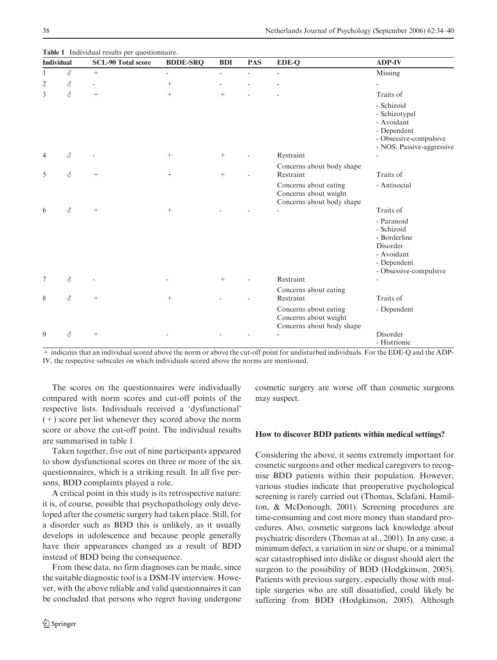|                | <b>Individual</b> | <b>SCL-90 Total score</b><br>$+$ | <b>BDDE-SRQ</b><br>$\overline{\phantom{0}}$ | <b>BDI</b><br>$\overline{\phantom{0}}$ | <b>PAS</b><br>÷ | EDE-Q<br>$\overline{\phantom{a}}$                                           | <b>ADP-IV</b><br>Missing                                                                                        |
|----------------|-------------------|----------------------------------|---------------------------------------------|----------------------------------------|-----------------|-----------------------------------------------------------------------------|-----------------------------------------------------------------------------------------------------------------|
| 1              | ♂                 |                                  |                                             |                                        |                 |                                                                             |                                                                                                                 |
| $\overline{2}$ | ♂                 | $\overline{a}$                   | $\boldsymbol{+}$                            |                                        |                 |                                                                             |                                                                                                                 |
| 3              | $\vec{\delta}$    | $\! + \!\!\!\!$                  | $^{+}$                                      | $^{+}$                                 |                 |                                                                             | Traits of                                                                                                       |
|                |                   |                                  |                                             |                                        |                 |                                                                             | - Schizoid<br>- Schizotypal<br>- Avoidant<br>- Dependent<br>- Obsessive-compulsive<br>- NOS: Passive-aggressive |
| 4              | $\vec{\delta}$    |                                  | $\boldsymbol{+}$                            | $^{+}$                                 |                 | Restraint                                                                   |                                                                                                                 |
| 5              | $\vec{\delta}$    | $^{+}$                           |                                             | $^{+}$                                 |                 | Concerns about body shape<br>Restraint                                      | Traits of                                                                                                       |
|                |                   |                                  |                                             |                                        |                 | Concerns about eating<br>Concerns about weight<br>Concerns about body shape | - Antisocial                                                                                                    |
| 6              | $\vec{\delta}$    | $\! +$                           | $\boldsymbol{+}$                            |                                        |                 |                                                                             | Traits of                                                                                                       |
|                |                   |                                  |                                             |                                        |                 |                                                                             | - Paranoid<br>- Schizoid<br>- Borderline<br>Disorder<br>- Avoidant<br>- Dependent<br>- Obsessive-compulsive     |
| 7              | $\vec{\delta}$    |                                  |                                             | $\! + \!\!\!\!$                        |                 | Restraint                                                                   |                                                                                                                 |
| 8              | ♂                 | $+$                              |                                             |                                        |                 | Concerns about eating<br>Restraint                                          | Traits of                                                                                                       |
|                |                   |                                  |                                             |                                        |                 | Concerns about eating<br>Concerns about weight<br>Concerns about body shape | - Dependent                                                                                                     |
| 9              | ♂                 | $^{+}$                           |                                             |                                        |                 |                                                                             | Disorder<br>- Histrionic                                                                                        |

Table 1 Individual results per questionnaire.

+ indicates that an individual scored above the norm or above the cut-off point for undisturbed individuals. For the EDE-Q and the ADP-IV, the respective subscales on which individuals scored above the norms are mentioned.

The scores on the questionnaires were individually compared with norm scores and cut-off points of the respective lists. Individuals received a 'dysfunctional' (+) score per list whenever they scored above the norm score or above the cut-off point. The individual results are summarised in table 1.

Taken together, five out of nine participants appeared to show dysfunctional scores on three or more of the six questionnaires, which is a striking result. In all five persons, BDD complaints played a role.

A critical point in this study is its retrospective nature: it is, of course, possible that psychopathology only developed after the cosmetic surgery had taken place. Still, for a disorder such as BDD this is unlikely, as it usually develops in adolescence and because people generally have their appearances changed as a result of BDD instead of BDD being the consequence.

From these data, no firm diagnoses can be made, since the suitable diagnostic tool is a DSM-IV interview. However, with the above reliable and valid questionnaires it can be concluded that persons who regret having undergone cosmetic surgery are worse off than cosmetic surgeons may suspect.

#### How to discover BDD patients within medical settings?

Considering the above, it seems extremely important for cosmetic surgeons and other medical caregivers to recognise BDD patients within their population. However, various studies indicate that preoperative psychological screening is rarely carried out (Thomas, Sclafani, Hamilton, & McDonough, 2001). Screening procedures are time-consuming and cost more money than standard procedures. Also, cosmetic surgeons lack knowledge about psychiatric disorders (Thomas at al., 2001). In any case, a minimum defect, a variation in size or shape, or a minimal scar catastrophised into dislike or disgust should alert the surgeon to the possibility of BDD (Hodgkinson, 2005). Patients with previous surgery, especially those with multiple surgeries who are still dissatisfied, could likely be suffering from BDD (Hodgkinson, 2005). Although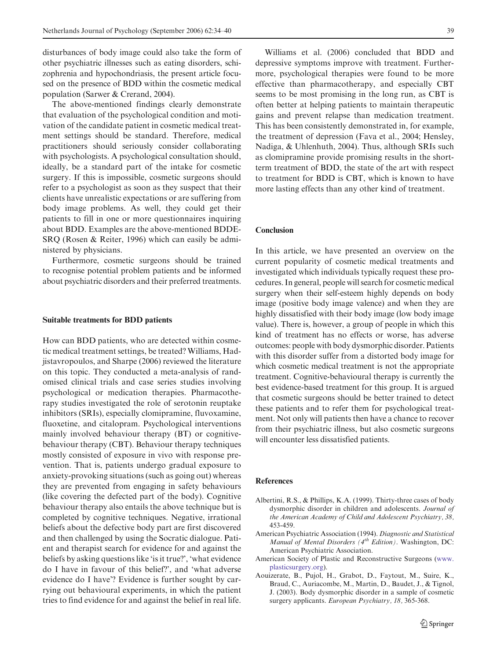disturbances of body image could also take the form of other psychiatric illnesses such as eating disorders, schizophrenia and hypochondriasis, the present article focused on the presence of BDD within the cosmetic medical population (Sarwer & Crerand, 2004).

The above-mentioned findings clearly demonstrate that evaluation of the psychological condition and motivation of the candidate patient in cosmetic medical treatment settings should be standard. Therefore, medical practitioners should seriously consider collaborating with psychologists. A psychological consultation should, ideally, be a standard part of the intake for cosmetic surgery. If this is impossible, cosmetic surgeons should refer to a psychologist as soon as they suspect that their clients have unrealistic expectations or are suffering from body image problems. As well, they could get their patients to fill in one or more questionnaires inquiring about BDD. Examples are the above-mentioned BDDE-SRQ (Rosen & Reiter, 1996) which can easily be administered by physicians.

Furthermore, cosmetic surgeons should be trained to recognise potential problem patients and be informed about psychiatric disorders and their preferred treatments.

#### Suitable treatments for BDD patients

How can BDD patients, who are detected within cosmetic medical treatment settings, be treated? Williams, Hadjistavropoulos, and Sharpe (2006) reviewed the literature on this topic. They conducted a meta-analysis of randomised clinical trials and case series studies involving psychological or medication therapies. Pharmacotherapy studies investigated the role of serotonin reuptake inhibitors (SRIs), especially clomipramine, fluvoxamine, fluoxetine, and citalopram. Psychological interventions mainly involved behaviour therapy (BT) or cognitivebehaviour therapy (CBT). Behaviour therapy techniques mostly consisted of exposure in vivo with response prevention. That is, patients undergo gradual exposure to anxiety-provoking situations (such as going out) whereas they are prevented from engaging in safety behaviours (like covering the defected part of the body). Cognitive behaviour therapy also entails the above technique but is completed by cognitive techniques. Negative, irrational beliefs about the defective body part are first discovered and then challenged by using the Socratic dialogue. Patient and therapist search for evidence for and against the beliefs by asking questions like 'is it true?', 'what evidence do I have in favour of this belief?', and 'what adverse evidence do I have'? Evidence is further sought by carrying out behavioural experiments, in which the patient tries to find evidence for and against the belief in real life.

Williams et al. (2006) concluded that BDD and depressive symptoms improve with treatment. Furthermore, psychological therapies were found to be more effective than pharmacotherapy, and especially CBT seems to be most promising in the long run, as CBT is often better at helping patients to maintain therapeutic gains and prevent relapse than medication treatment. This has been consistently demonstrated in, for example, the treatment of depression (Fava et al., 2004; Hensley, Nadiga, & Uhlenhuth, 2004). Thus, although SRIs such as clomipramine provide promising results in the shortterm treatment of BDD, the state of the art with respect to treatment for BDD is CBT, which is known to have more lasting effects than any other kind of treatment.

#### Conclusion

In this article, we have presented an overview on the current popularity of cosmetic medical treatments and investigated which individuals typically request these procedures. In general, people will search for cosmetic medical surgery when their self-esteem highly depends on body image (positive body image valence) and when they are highly dissatisfied with their body image (low body image value). There is, however, a group of people in which this kind of treatment has no effects or worse, has adverse outcomes: people with body dysmorphic disorder. Patients with this disorder suffer from a distorted body image for which cosmetic medical treatment is not the appropriate treatment. Cognitive-behavioural therapy is currently the best evidence-based treatment for this group. It is argued that cosmetic surgeons should be better trained to detect these patients and to refer them for psychological treatment. Not only will patients then have a chance to recover from their psychiatric illness, but also cosmetic surgeons will encounter less dissatisfied patients.

## References

- Albertini, R.S., & Phillips, K.A. (1999). Thirty-three cases of body dysmorphic disorder in children and adolescents. Journal of the American Academy of Child and Adolescent Psychiatry, 38, 453-459.
- American Psychiatric Association (1994). Diagnostic and Statistical Manual of Mental Disorders  $(4^{th}$  Edition). Washington, DC: American Psychiatric Association.
- American Society of Plastic and Reconstructive Surgeons (www. plasticsurgery.org).
- Aouizerate, B., Pujol, H., Grabot, D., Faytout, M., Suire, K., Braud, C., Auriacombe, M., Martin, D., Baudet, J., & Tignol, J. (2003). Body dysmorphic disorder in a sample of cosmetic surgery applicants. European Psychiatry, 18, 365-368.